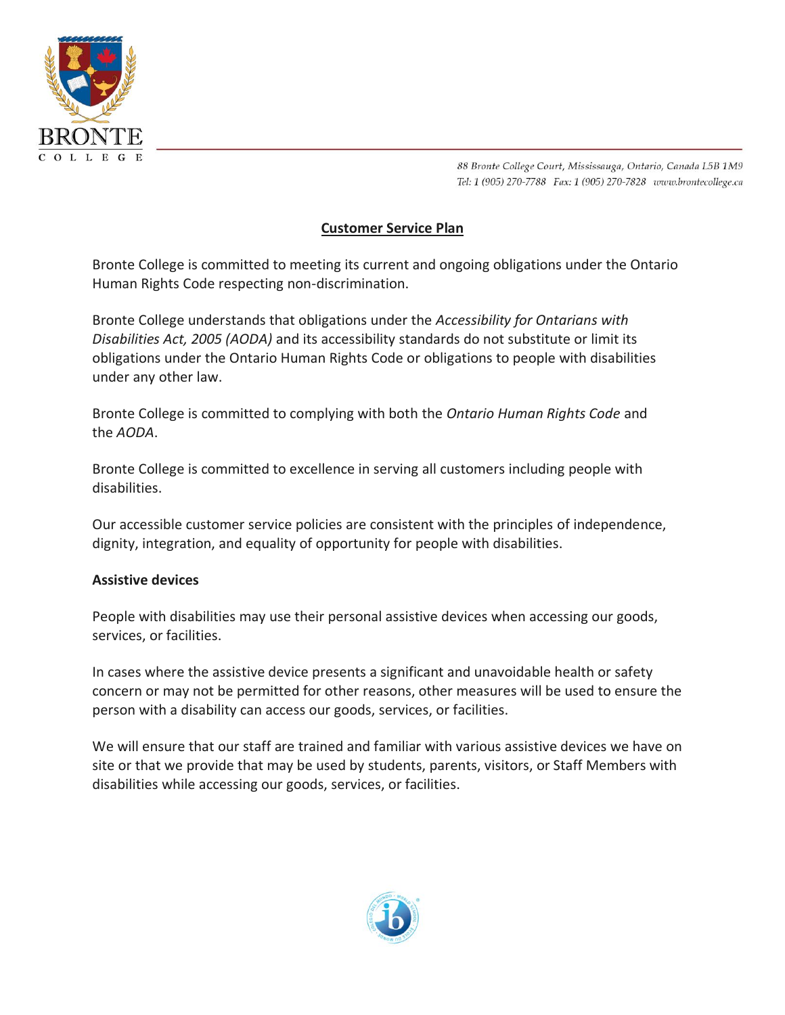

# **Customer Service Plan**

Bronte College is committed to meeting its current and ongoing obligations under the Ontario Human Rights Code respecting non-discrimination.

Bronte College understands that obligations under the *Accessibility for Ontarians with Disabilities Act, 2005 (AODA)* and its accessibility standards do not substitute or limit its obligations under the Ontario Human Rights Code or obligations to people with disabilities under any other law.

Bronte College is committed to complying with both the *Ontario Human Rights Code* and the *AODA*.

Bronte College is committed to excellence in serving all customers including people with disabilities.

Our accessible customer service policies are consistent with the principles of independence, dignity, integration, and equality of opportunity for people with disabilities.

#### **Assistive devices**

People with disabilities may use their personal assistive devices when accessing our goods, services, or facilities.

In cases where the assistive device presents a significant and unavoidable health or safety concern or may not be permitted for other reasons, other measures will be used to ensure the person with a disability can access our goods, services, or facilities.

We will ensure that our staff are trained and familiar with various assistive devices we have on site or that we provide that may be used by students, parents, visitors, or Staff Members with disabilities while accessing our goods, services, or facilities.

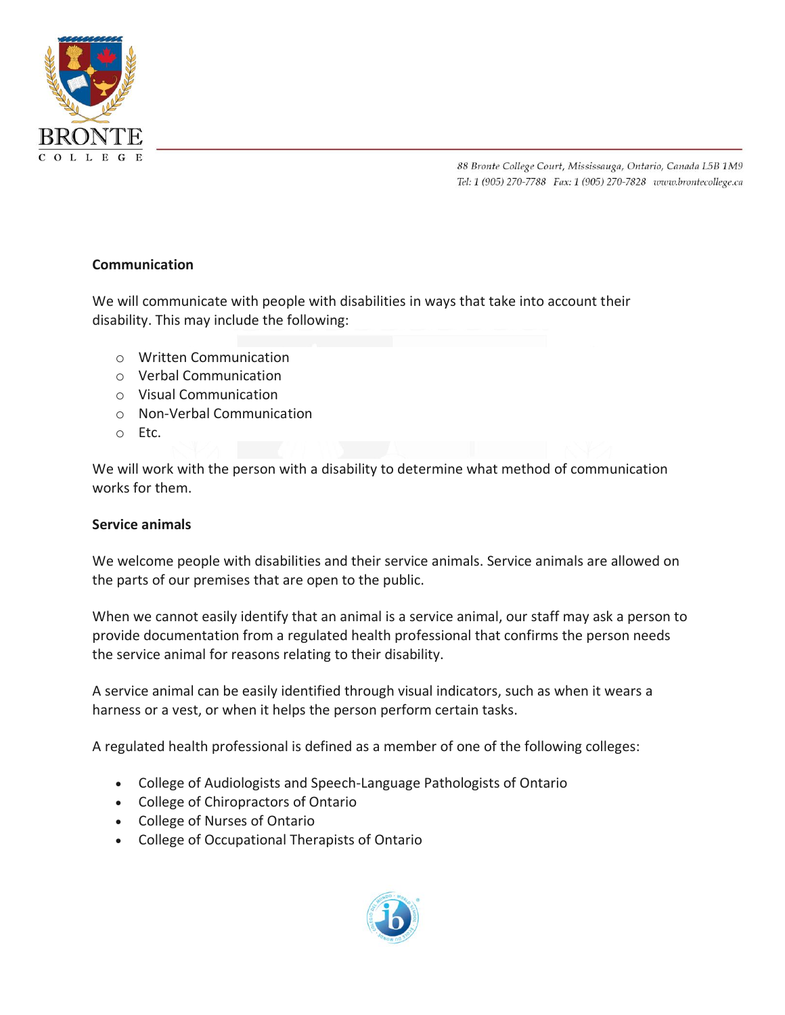

### **Communication**

We will communicate with people with disabilities in ways that take into account their disability. This may include the following:

- o Written Communication
- o Verbal Communication
- o Visual Communication
- o Non-Verbal Communication
- o Etc.

We will work with the person with a disability to determine what method of communication works for them.

#### **Service animals**

We welcome people with disabilities and their service animals. Service animals are allowed on the parts of our premises that are open to the public.

When we cannot easily identify that an animal is a service animal, our staff may ask a person to provide documentation from a regulated health professional that confirms the person needs the service animal for reasons relating to their disability.

A service animal can be easily identified through visual indicators, such as when it wears a harness or a vest, or when it helps the person perform certain tasks.

A regulated health professional is defined as a member of one of the following colleges:

- College of Audiologists and Speech-Language Pathologists of Ontario
- College of Chiropractors of Ontario
- College of Nurses of Ontario
- College of Occupational Therapists of Ontario

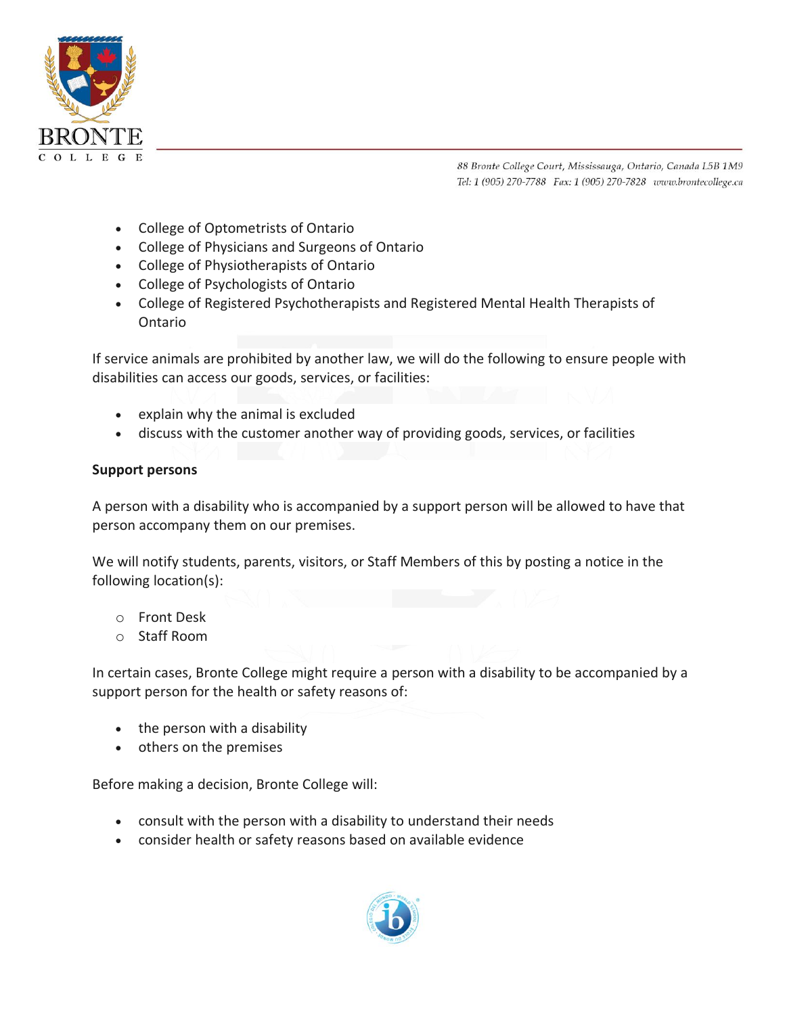

- College of Optometrists of Ontario
- College of Physicians and Surgeons of Ontario
- College of Physiotherapists of Ontario
- College of Psychologists of Ontario
- College of Registered Psychotherapists and Registered Mental Health Therapists of Ontario

If service animals are prohibited by another law, we will do the following to ensure people with disabilities can access our goods, services, or facilities:

- explain why the animal is excluded
- discuss with the customer another way of providing goods, services, or facilities

#### **Support persons**

A person with a disability who is accompanied by a support person will be allowed to have that person accompany them on our premises.

We will notify students, parents, visitors, or Staff Members of this by posting a notice in the following location(s):

- o Front Desk
- o Staff Room

In certain cases, Bronte College might require a person with a disability to be accompanied by a support person for the health or safety reasons of:

- the person with a disability
- others on the premises

Before making a decision, Bronte College will:

- consult with the person with a disability to understand their needs
- consider health or safety reasons based on available evidence

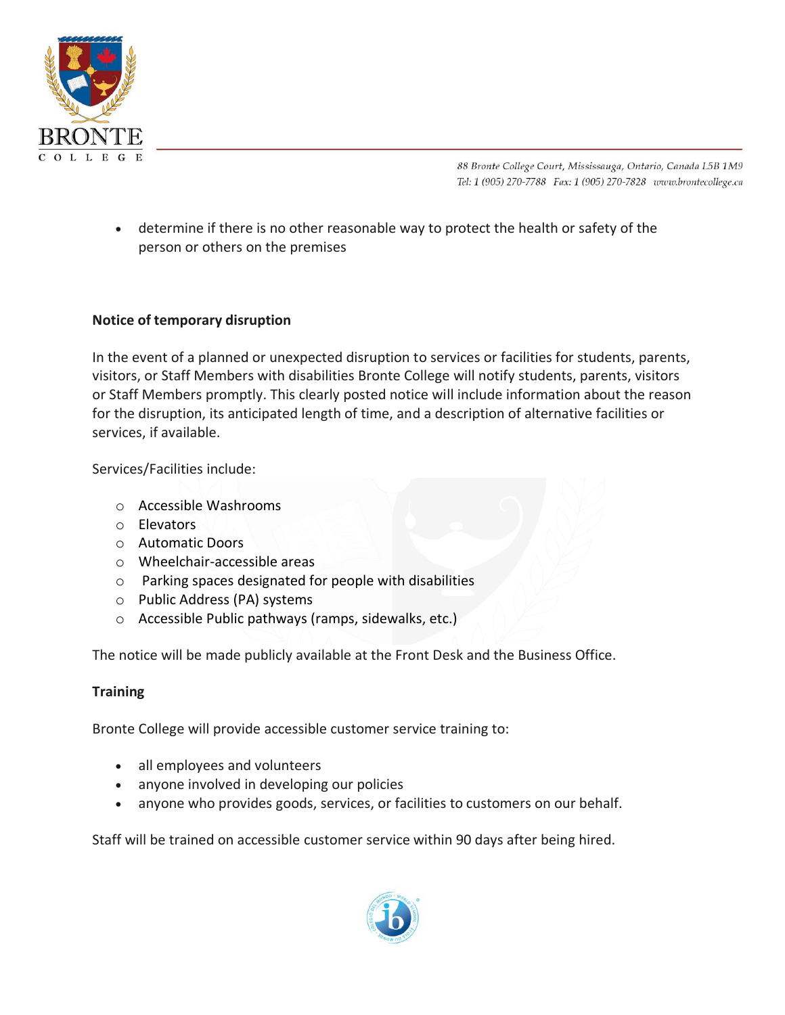

• determine if there is no other reasonable way to protect the health or safety of the person or others on the premises

## **Notice of temporary disruption**

In the event of a planned or unexpected disruption to services or facilities for students, parents, visitors, or Staff Members with disabilities Bronte College will notify students, parents, visitors or Staff Members promptly. This clearly posted notice will include information about the reason for the disruption, its anticipated length of time, and a description of alternative facilities or services, if available.

Services/Facilities include:

- o Accessible Washrooms
- o Elevators
- o Automatic Doors
- o Wheelchair-accessible areas
- o Parking spaces designated for people with disabilities
- o Public Address (PA) systems
- o Accessible Public pathways (ramps, sidewalks, etc.)

The notice will be made publicly available at the Front Desk and the Business Office.

#### **Training**

Bronte College will provide accessible customer service training to:

- all employees and volunteers
- anyone involved in developing our policies
- anyone who provides goods, services, or facilities to customers on our behalf.

Staff will be trained on accessible customer service within 90 days after being hired.

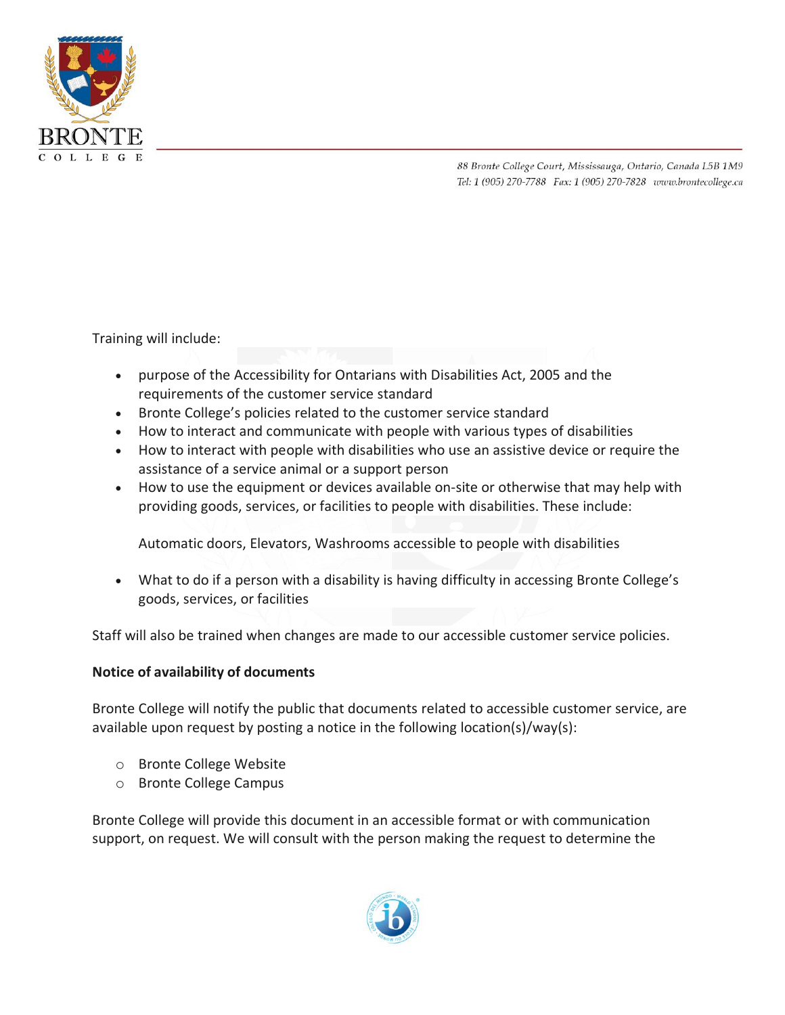

Training will include:

- purpose of the Accessibility for Ontarians with Disabilities Act, 2005 and the requirements of the customer service standard
- Bronte College's policies related to the customer service standard
- How to interact and communicate with people with various types of disabilities
- How to interact with people with disabilities who use an assistive device or require the assistance of a service animal or a support person
- How to use the equipment or devices available on-site or otherwise that may help with providing goods, services, or facilities to people with disabilities. These include:

Automatic doors, Elevators, Washrooms accessible to people with disabilities

• What to do if a person with a disability is having difficulty in accessing Bronte College's goods, services, or facilities

Staff will also be trained when changes are made to our accessible customer service policies.

#### **Notice of availability of documents**

Bronte College will notify the public that documents related to accessible customer service, are available upon request by posting a notice in the following location(s)/way(s):

- o Bronte College Website
- o Bronte College Campus

Bronte College will provide this document in an accessible format or with communication support, on request. We will consult with the person making the request to determine the